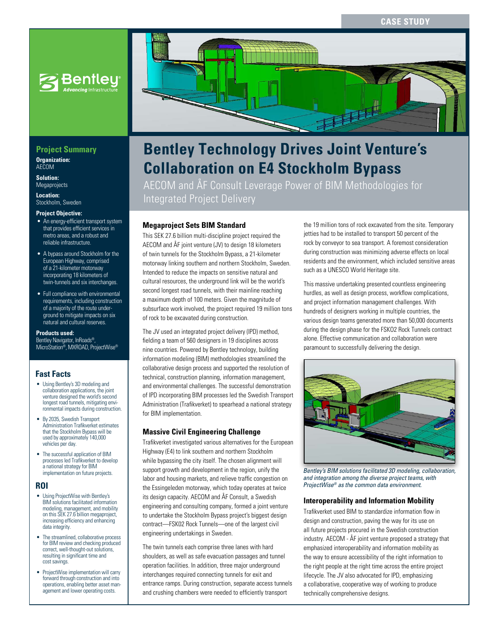

## **Project Summary**

**Organization:**  AECOM

**Solution:**  Megaprojects

**Location:**  Stockholm, Sweden

#### **Project Objective:**

- An energy-efficient transport system that provides efficient services in metro areas, and a robust and reliable infrastructure.
- A bypass around Stockholm for the European Highway, comprised of a 21-kilometer motorway incorporating 18 kilometers of twin-tunnels and six interchanges.
- Full compliance with environmental requirements, including construction of a majority of the route underground to mitigate impacts on six natural and cultural reserves.

**Products used:**

Bentley Navigator, InRoads®, MicroStation®, MXROAD, ProjectWise®

## **Fast Facts**

- Using Bentley's 3D modeling and collaboration applications, the joint venture designed the world's second longest road tunnels, mitigating environmental impacts during construction.
- By 2035, Swedish Transport Administration Trafikverket estimates that the Stockholm Bypass will be used by approximately 140,000 vehicles per day.
- The successful application of BIM processes led Trafikverket to develop a national strategy for BIM implementation on future projects.

#### **ROI**

- Using ProjectWise with Bentley's BIM solutions facilitated information modeling, management, and mobility on this SEK 27.6 billion megaproject, increasing efficiency and enhancing data integrity.
- The streamlined, collaborative process for BIM review and checking produced correct, well-thought-out solutions, resulting in significant time and cost savings.
- ProjectWise implementation will carry forward through construction and into operations, enabling better asset management and lower operating costs.



# **Bentley Technology Drives Joint Venture's Collaboration on E4 Stockholm Bypass**

AECOM and ÅF Consult Leverage Power of BIM Methodologies for Integrated Project Delivery

### **Megaproject Sets BIM Standard**

This SEK 27.6 billion multi-discipline project required the AECOM and ÅF joint venture (JV) to design 18 kilometers of twin tunnels for the Stockholm Bypass, a 21-kilometer motorway linking southern and northern Stockholm, Sweden. Intended to reduce the impacts on sensitive natural and cultural resources, the underground link will be the world's second longest road tunnels, with their mainline reaching a maximum depth of 100 meters. Given the magnitude of subsurface work involved, the project required 19 million tons of rock to be excavated during construction.

The JV used an integrated project delivery (IPD) method, fielding a team of 560 designers in 19 disciplines across nine countries. Powered by Bentley technology, building information modeling (BIM) methodologies streamlined the collaborative design process and supported the resolution of technical, construction planning, information management, and environmental challenges. The successful demonstration of IPD incorporating BIM processes led the Swedish Transport Administration (Trafikverket) to spearhead a national strategy for BIM implementation.

#### **Massive Civil Engineering Challenge**

Trafikverket investigated various alternatives for the European Highway (E4) to link southern and northern Stockholm while bypassing the city itself. The chosen alignment will support growth and development in the region, unify the labor and housing markets, and relieve traffic congestion on the Essingeleden motorway, which today operates at twice its design capacity. AECOM and ÅF Consult, a Swedish engineering and consulting company, formed a joint venture to undertake the Stockholm Bypass project's biggest design contract—FSK02 Rock Tunnels—one of the largest civil engineering undertakings in Sweden.

The twin tunnels each comprise three lanes with hard shoulders, as well as safe evacuation passages and tunnel operation facilities. In addition, three major underground interchanges required connecting tunnels for exit and entrance ramps. During construction, separate access tunnels and crushing chambers were needed to efficiently transport

the 19 million tons of rock excavated from the site. Temporary jetties had to be installed to transport 50 percent of the rock by conveyor to sea transport. A foremost consideration during construction was minimizing adverse effects on local residents and the environment, which included sensitive areas such as a UNESCO World Heritage site.

This massive undertaking presented countless engineering hurdles, as well as design process, workflow complications, and project information management challenges. With hundreds of designers working in multiple countries, the various design teams generated more than 50,000 documents during the design phase for the FSKO2 Rock Tunnels contract alone. Effective communication and collaboration were paramount to successfully delivering the design.



*Bentley's BIM solutions facilitated 3D modeling, collaboration, and integration among the diverse project teams, with ProjectWise® as the common data environment.*

#### **Interoperability and Information Mobility**

Trafikverket used BIM to standardize information flow in design and construction, paving the way for its use on all future projects procured in the Swedish construction industry. AECOM - ÅF joint venture proposed a strategy that emphasized interoperability and information mobility as the way to ensure accessibility of the right information to the right people at the right time across the entire project lifecycle. The JV also advocated for IPD, emphasizing a collaborative, cooperative way of working to produce technically comprehensive designs.